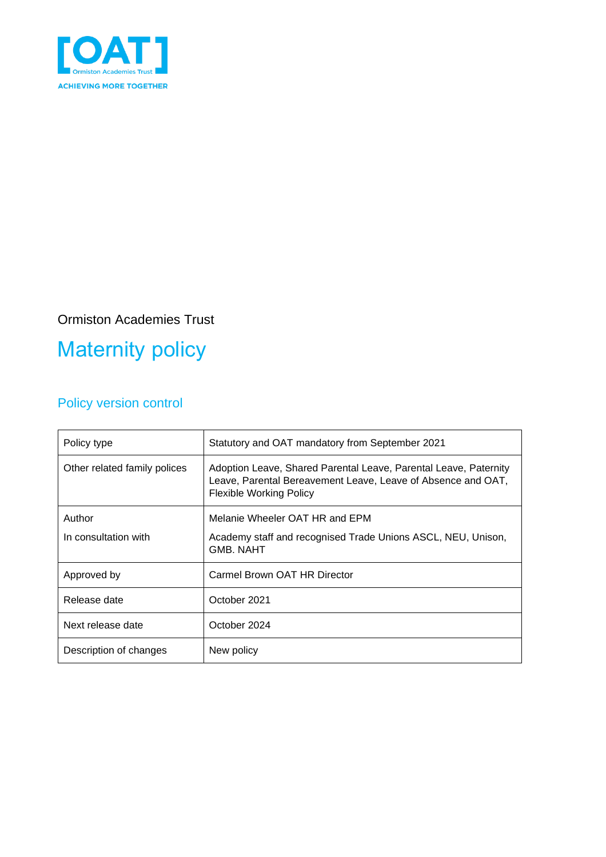

### Ormiston Academies Trust

# Maternity policy

### Policy version control

| Policy type                    | Statutory and OAT mandatory from September 2021                                                                                                                    |
|--------------------------------|--------------------------------------------------------------------------------------------------------------------------------------------------------------------|
| Other related family polices   | Adoption Leave, Shared Parental Leave, Parental Leave, Paternity<br>Leave, Parental Bereavement Leave, Leave of Absence and OAT,<br><b>Flexible Working Policy</b> |
| Author<br>In consultation with | Melanie Wheeler OAT HR and EPM<br>Academy staff and recognised Trade Unions ASCL, NEU, Unison,<br><b>GMB. NAHT</b>                                                 |
| Approved by                    | Carmel Brown OAT HR Director                                                                                                                                       |
| Release date                   | October 2021                                                                                                                                                       |
| Next release date              | October 2024                                                                                                                                                       |
| Description of changes         | New policy                                                                                                                                                         |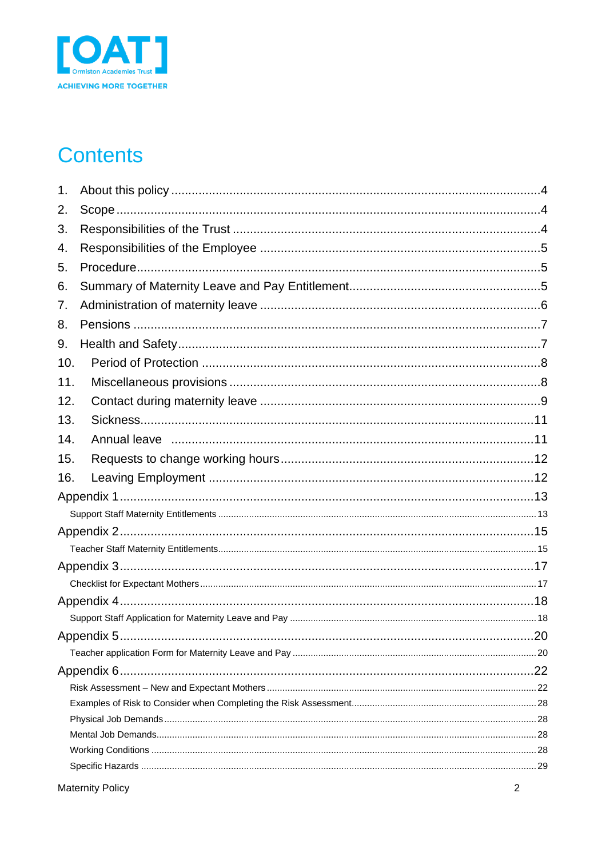

# **Contents**

| 1.  |             |
|-----|-------------|
| 2.  |             |
| 3.  |             |
| 4.  |             |
| 5.  |             |
| 6.  |             |
| 7.  |             |
| 8.  |             |
| 9.  |             |
| 10. |             |
| 11. |             |
| 12. |             |
| 13. |             |
| 14. |             |
| 15. |             |
| 16. |             |
|     |             |
|     |             |
|     |             |
|     |             |
|     |             |
|     |             |
|     |             |
|     |             |
|     | $\dots$ .20 |
|     |             |
|     |             |
|     |             |
|     |             |
|     |             |
|     |             |
|     |             |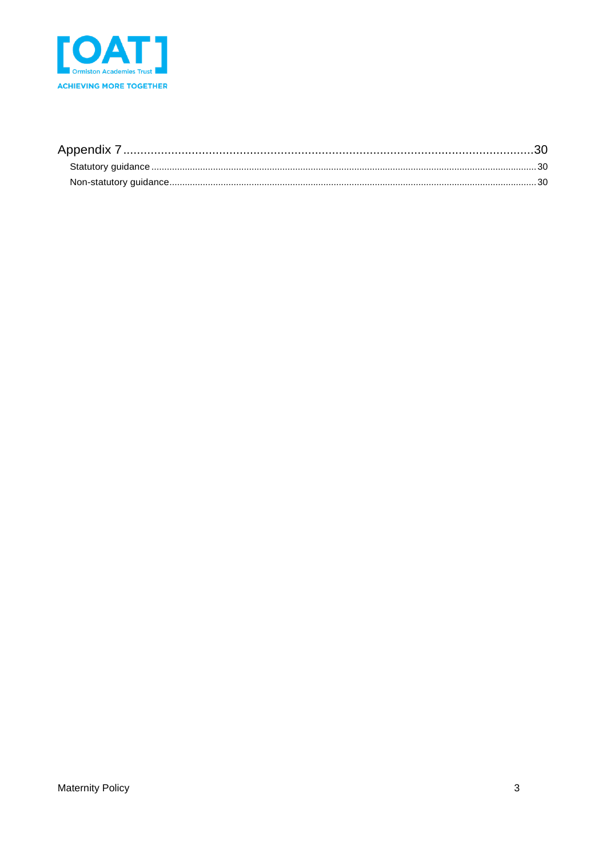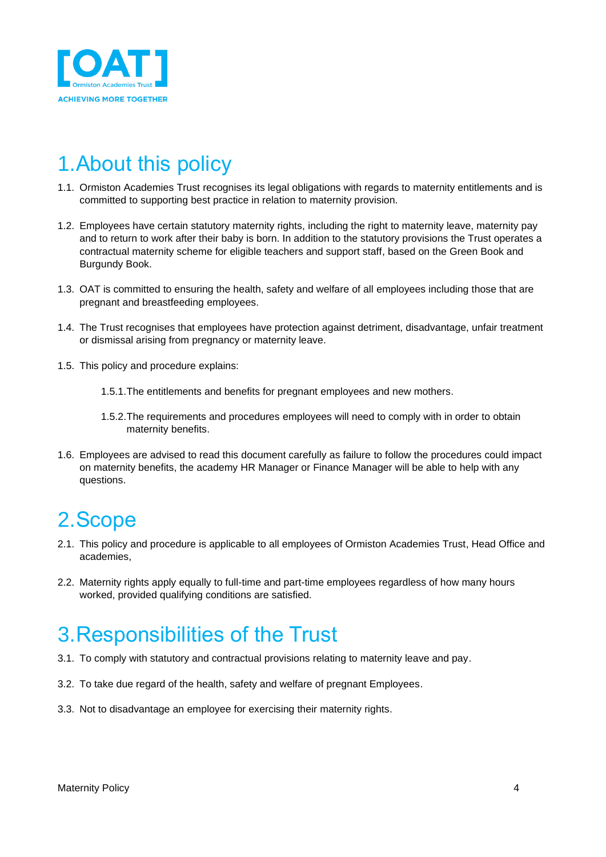

## <span id="page-3-0"></span>1.About this policy

- 1.1. Ormiston Academies Trust recognises its legal obligations with regards to maternity entitlements and is committed to supporting best practice in relation to maternity provision.
- 1.2. Employees have certain statutory maternity rights, including the right to maternity leave, maternity pay and to return to work after their baby is born. In addition to the statutory provisions the Trust operates a contractual maternity scheme for eligible teachers and support staff, based on the Green Book and Burgundy Book.
- 1.3. OAT is committed to ensuring the health, safety and welfare of all employees including those that are pregnant and breastfeeding employees.
- 1.4. The Trust recognises that employees have protection against detriment, disadvantage, unfair treatment or dismissal arising from pregnancy or maternity leave.
- 1.5. This policy and procedure explains:
	- 1.5.1.The entitlements and benefits for pregnant employees and new mothers.
	- 1.5.2.The requirements and procedures employees will need to comply with in order to obtain maternity benefits.
- 1.6. Employees are advised to read this document carefully as failure to follow the procedures could impact on maternity benefits, the academy HR Manager or Finance Manager will be able to help with any questions.

# <span id="page-3-1"></span>2.Scope

- 2.1. This policy and procedure is applicable to all employees of Ormiston Academies Trust, Head Office and academies,
- 2.2. Maternity rights apply equally to full-time and part-time employees regardless of how many hours worked, provided qualifying conditions are satisfied.

## <span id="page-3-2"></span>3.Responsibilities of the Trust

- 3.1. To comply with statutory and contractual provisions relating to maternity leave and pay.
- 3.2. To take due regard of the health, safety and welfare of pregnant Employees.
- 3.3. Not to disadvantage an employee for exercising their maternity rights.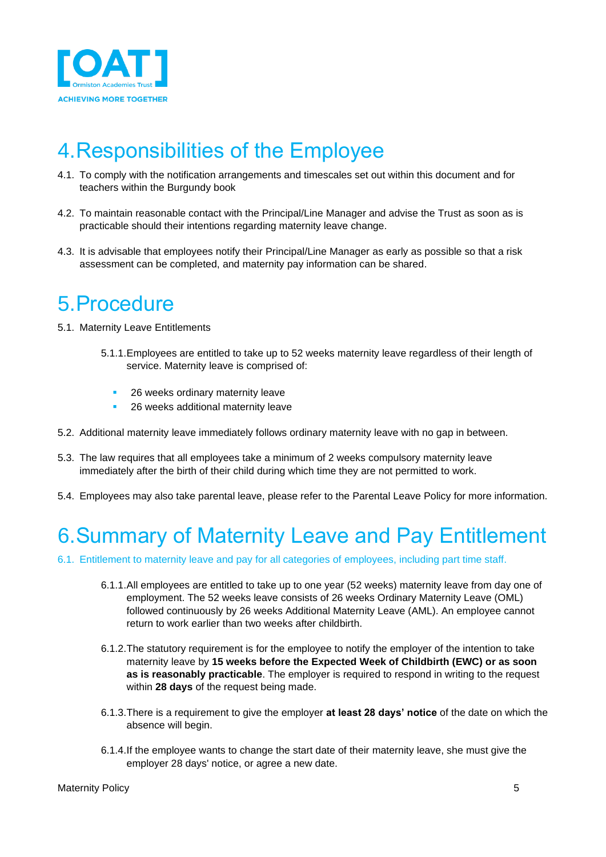

## <span id="page-4-0"></span>4.Responsibilities of the Employee

- 4.1. To comply with the notification arrangements and timescales set out within this document and for teachers within the Burgundy book
- 4.2. To maintain reasonable contact with the Principal/Line Manager and advise the Trust as soon as is practicable should their intentions regarding maternity leave change.
- 4.3. It is advisable that employees notify their Principal/Line Manager as early as possible so that a risk assessment can be completed, and maternity pay information can be shared.

### <span id="page-4-1"></span>5.Procedure

- 5.1. Maternity Leave Entitlements
	- 5.1.1.Employees are entitled to take up to 52 weeks maternity leave regardless of their length of service. Maternity leave is comprised of:
		- 26 weeks ordinary maternity leave
		- 26 weeks additional maternity leave
- 5.2. Additional maternity leave immediately follows ordinary maternity leave with no gap in between.
- 5.3. The law requires that all employees take a minimum of 2 weeks compulsory maternity leave immediately after the birth of their child during which time they are not permitted to work.
- 5.4. Employees may also take parental leave, please refer to the Parental Leave Policy for more information.

### <span id="page-4-2"></span>6.Summary of Maternity Leave and Pay Entitlement

- 6.1. Entitlement to maternity leave and pay for all categories of employees, including part time staff.
	- 6.1.1.All employees are entitled to take up to one year (52 weeks) maternity leave from day one of employment. The 52 weeks leave consists of 26 weeks Ordinary Maternity Leave (OML) followed continuously by 26 weeks Additional Maternity Leave (AML). An employee cannot return to work earlier than two weeks after childbirth.
	- 6.1.2.The statutory requirement is for the employee to notify the employer of the intention to take maternity leave by **15 weeks before the Expected Week of Childbirth (EWC) or as soon as is reasonably practicable**. The employer is required to respond in writing to the request within **28 days** of the request being made.
	- 6.1.3.There is a requirement to give the employer **at least 28 days' notice** of the date on which the absence will begin.
	- 6.1.4.If the employee wants to change the start date of their maternity leave, she must give the employer 28 days' notice, or agree a new date.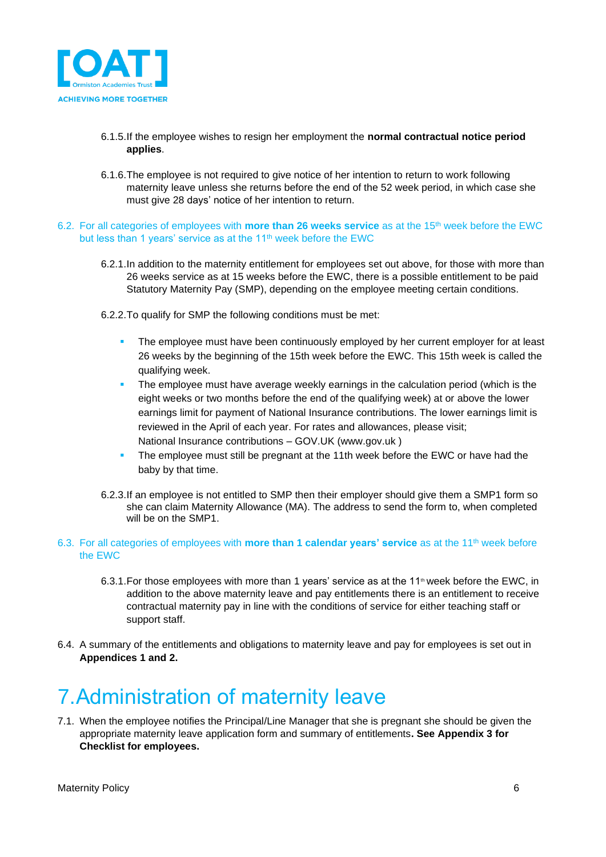

- 6.1.5.If the employee wishes to resign her employment the **normal contractual notice period applies**.
- 6.1.6.The employee is not required to give notice of her intention to return to work following maternity leave unless she returns before the end of the 52 week period, in which case she must give 28 days' notice of her intention to return.
- 6.2. For all categories of employees with **more than 26 weeks service** as at the 15th week before the EWC but less than 1 years' service as at the 11<sup>th</sup> week before the EWC
	- 6.2.1.In addition to the maternity entitlement for employees set out above, for those with more than 26 weeks service as at 15 weeks before the EWC, there is a possible entitlement to be paid Statutory Maternity Pay (SMP), depending on the employee meeting certain conditions.
	- 6.2.2.To qualify for SMP the following conditions must be met:
		- The employee must have been continuously employed by her current employer for at least 26 weeks by the beginning of the 15th week before the EWC. This 15th week is called the qualifying week.
		- The employee must have average weekly earnings in the calculation period (which is the eight weeks or two months before the end of the qualifying week) at or above the lower earnings limit for payment of National Insurance contributions. The lower earnings limit is reviewed in the April of each year. For rates and allowances, please visit; National Insurance contributions – GOV.UK [\(www.gov.uk](http://www.gov.uk/) )
		- The employee must still be pregnant at the 11th week before the EWC or have had the baby by that time.
	- 6.2.3.If an employee is not entitled to SMP then their employer should give them a SMP1 form so she can claim Maternity Allowance (MA). The address to send the form to, when completed will be on the SMP1.
- 6.3. For all categories of employees with **more than 1 calendar years' service** as at the 11th week before the EWC
	- 6.3.1. For those employees with more than 1 years' service as at the  $11<sup>th</sup>$  week before the EWC, in addition to the above maternity leave and pay entitlements there is an entitlement to receive contractual maternity pay in line with the conditions of service for either teaching staff or support staff.
- 6.4. A summary of the entitlements and obligations to maternity leave and pay for employees is set out in **Appendices 1 and 2.**

# <span id="page-5-0"></span>7.Administration of maternity leave

7.1. When the employee notifies the Principal/Line Manager that she is pregnant she should be given the appropriate maternity leave application form and summary of entitlements**. See Appendix 3 for Checklist for employees.**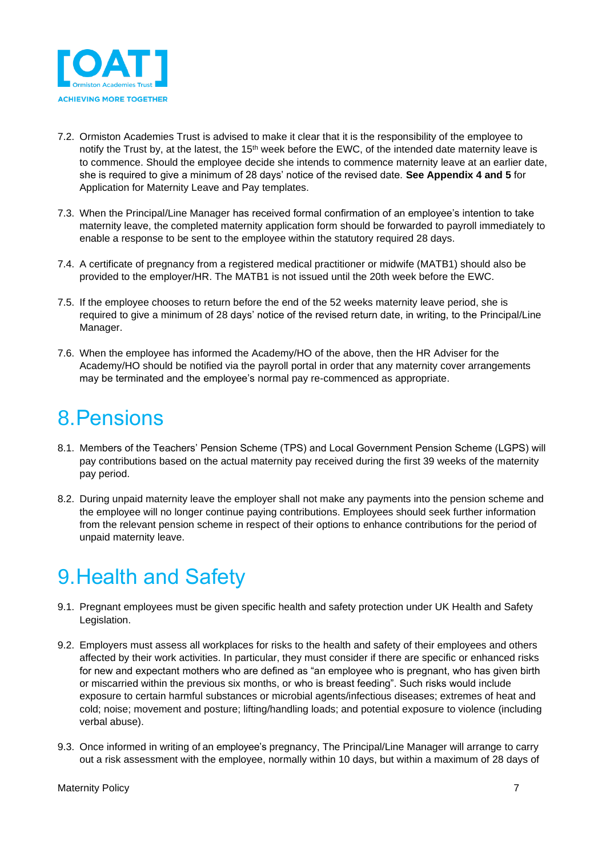

- 7.2. Ormiston Academies Trust is advised to make it clear that it is the responsibility of the employee to notify the Trust by, at the latest, the 15<sup>th</sup> week before the EWC, of the intended date maternity leave is to commence. Should the employee decide she intends to commence maternity leave at an earlier date, she is required to give a minimum of 28 days' notice of the revised date. **See Appendix 4 and 5** for Application for Maternity Leave and Pay templates.
- 7.3. When the Principal/Line Manager has received formal confirmation of an employee's intention to take maternity leave, the completed maternity application form should be forwarded to payroll immediately to enable a response to be sent to the employee within the statutory required 28 days.
- 7.4. A certificate of pregnancy from a registered medical practitioner or midwife (MATB1) should also be provided to the employer/HR. The MATB1 is not issued until the 20th week before the EWC.
- 7.5. If the employee chooses to return before the end of the 52 weeks maternity leave period, she is required to give a minimum of 28 days' notice of the revised return date, in writing, to the Principal/Line Manager.
- 7.6. When the employee has informed the Academy/HO of the above, then the HR Adviser for the Academy/HO should be notified via the payroll portal in order that any maternity cover arrangements may be terminated and the employee's normal pay re-commenced as appropriate.

### <span id="page-6-0"></span>8.Pensions

- 8.1. Members of the Teachers' Pension Scheme (TPS) and Local Government Pension Scheme (LGPS) will pay contributions based on the actual maternity pay received during the first 39 weeks of the maternity pay period.
- 8.2. During unpaid maternity leave the employer shall not make any payments into the pension scheme and the employee will no longer continue paying contributions. Employees should seek further information from the relevant pension scheme in respect of their options to enhance contributions for the period of unpaid maternity leave.

# <span id="page-6-1"></span>9.Health and Safety

- 9.1. Pregnant employees must be given specific health and safety protection under UK Health and Safety Legislation.
- 9.2. Employers must assess all workplaces for risks to the health and safety of their employees and others affected by their work activities. In particular, they must consider if there are specific or enhanced risks for new and expectant mothers who are defined as "an employee who is pregnant, who has given birth or miscarried within the previous six months, or who is breast feeding". Such risks would include exposure to certain harmful substances or microbial agents/infectious diseases; extremes of heat and cold; noise; movement and posture; lifting/handling loads; and potential exposure to violence (including verbal abuse).
- 9.3. Once informed in writing of an employee's pregnancy, The Principal/Line Manager will arrange to carry out a risk assessment with the employee, normally within 10 days, but within a maximum of 28 days of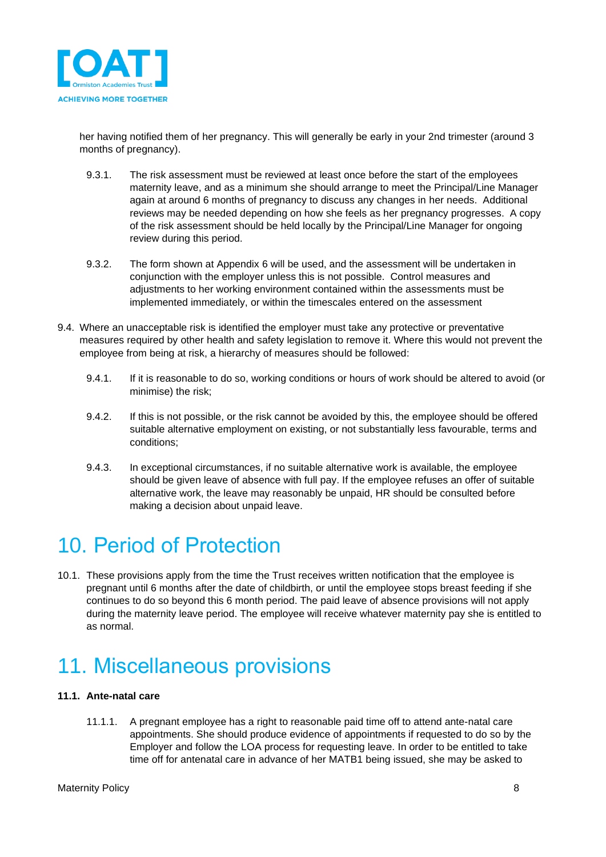

her having notified them of her pregnancy. This will generally be early in your 2nd trimester (around 3 months of pregnancy).

- 9.3.1. The risk assessment must be reviewed at least once before the start of the employees maternity leave, and as a minimum she should arrange to meet the Principal/Line Manager again at around 6 months of pregnancy to discuss any changes in her needs. Additional reviews may be needed depending on how she feels as her pregnancy progresses. A copy of the risk assessment should be held locally by the Principal/Line Manager for ongoing review during this period.
- 9.3.2. The form shown at Appendix 6 will be used, and the assessment will be undertaken in conjunction with the employer unless this is not possible. Control measures and adjustments to her working environment contained within the assessments must be implemented immediately, or within the timescales entered on the assessment
- 9.4. Where an unacceptable risk is identified the employer must take any protective or preventative measures required by other health and safety legislation to remove it. Where this would not prevent the employee from being at risk, a hierarchy of measures should be followed:
	- 9.4.1. If it is reasonable to do so, working conditions or hours of work should be altered to avoid (or minimise) the risk;
	- 9.4.2. If this is not possible, or the risk cannot be avoided by this, the employee should be offered suitable alternative employment on existing, or not substantially less favourable, terms and conditions;
	- 9.4.3. In exceptional circumstances, if no suitable alternative work is available, the employee should be given leave of absence with full pay. If the employee refuses an offer of suitable alternative work, the leave may reasonably be unpaid, HR should be consulted before making a decision about unpaid leave.

## <span id="page-7-0"></span>10. Period of Protection

10.1. These provisions apply from the time the Trust receives written notification that the employee is pregnant until 6 months after the date of childbirth, or until the employee stops breast feeding if she continues to do so beyond this 6 month period. The paid leave of absence provisions will not apply during the maternity leave period. The employee will receive whatever maternity pay she is entitled to as normal.

# <span id="page-7-1"></span>11. Miscellaneous provisions

### **11.1. Ante-natal care**

11.1.1. A pregnant employee has a right to reasonable paid time off to attend ante-natal care appointments. She should produce evidence of appointments if requested to do so by the Employer and follow the LOA process for requesting leave. In order to be entitled to take time off for antenatal care in advance of her MATB1 being issued, she may be asked to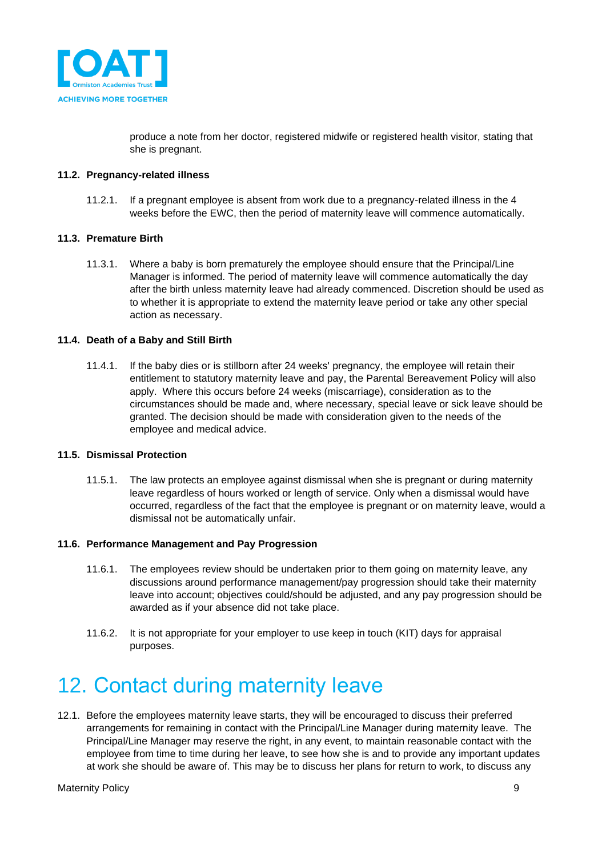

produce a note from her doctor, registered midwife or registered health visitor, stating that she is pregnant.

### **11.2. Pregnancy-related illness**

11.2.1. If a pregnant employee is absent from work due to a pregnancy-related illness in the 4 weeks before the EWC, then the period of maternity leave will commence automatically.

### **11.3. Premature Birth**

11.3.1. Where a baby is born prematurely the employee should ensure that the Principal/Line Manager is informed. The period of maternity leave will commence automatically the day after the birth unless maternity leave had already commenced. Discretion should be used as to whether it is appropriate to extend the maternity leave period or take any other special action as necessary.

### **11.4. Death of a Baby and Still Birth**

11.4.1. If the baby dies or is stillborn after 24 weeks' pregnancy, the employee will retain their entitlement to statutory maternity leave and pay, the Parental Bereavement Policy will also apply. Where this occurs before 24 weeks (miscarriage), consideration as to the circumstances should be made and, where necessary, special leave or sick leave should be granted. The decision should be made with consideration given to the needs of the employee and medical advice.

### **11.5. Dismissal Protection**

11.5.1. The law protects an employee against dismissal when she is pregnant or during maternity leave regardless of hours worked or length of service. Only when a dismissal would have occurred, regardless of the fact that the employee is pregnant or on maternity leave, would a dismissal not be automatically unfair.

### **11.6. Performance Management and Pay Progression**

- 11.6.1. The employees review should be undertaken prior to them going on maternity leave, any discussions around performance management/pay progression should take their maternity leave into account; objectives could/should be adjusted, and any pay progression should be awarded as if your absence did not take place.
- 11.6.2. It is not appropriate for your employer to use keep in touch (KIT) days for appraisal purposes.

## <span id="page-8-0"></span>12. Contact during maternity leave

12.1. Before the employees maternity leave starts, they will be encouraged to discuss their preferred arrangements for remaining in contact with the Principal/Line Manager during maternity leave. The Principal/Line Manager may reserve the right, in any event, to maintain reasonable contact with the employee from time to time during her leave, to see how she is and to provide any important updates at work she should be aware of. This may be to discuss her plans for return to work, to discuss any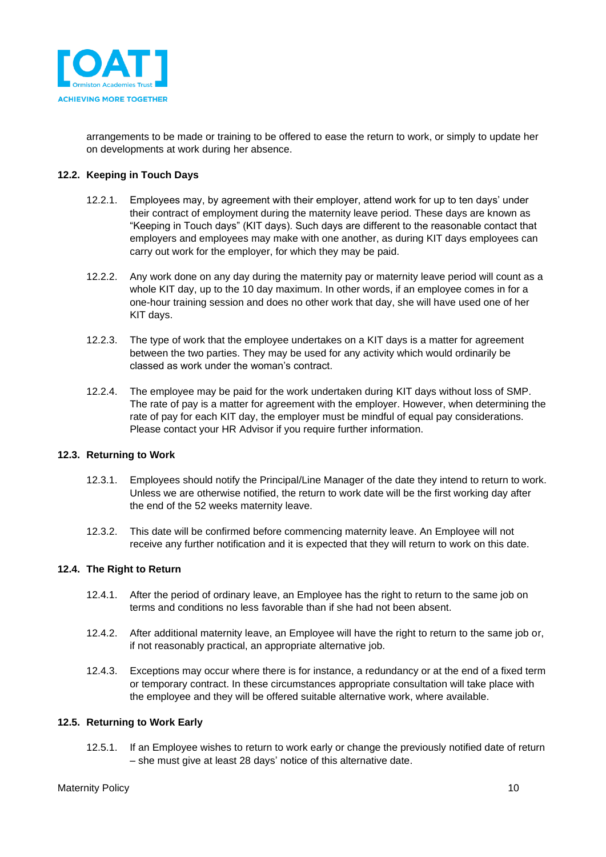

arrangements to be made or training to be offered to ease the return to work, or simply to update her on developments at work during her absence.

### **12.2. Keeping in Touch Days**

- 12.2.1. Employees may, by agreement with their employer, attend work for up to ten days' under their contract of employment during the maternity leave period. These days are known as "Keeping in Touch days" (KIT days). Such days are different to the reasonable contact that employers and employees may make with one another, as during KIT days employees can carry out work for the employer, for which they may be paid.
- 12.2.2. Any work done on any day during the maternity pay or maternity leave period will count as a whole KIT day, up to the 10 day maximum. In other words, if an employee comes in for a one-hour training session and does no other work that day, she will have used one of her KIT days.
- 12.2.3. The type of work that the employee undertakes on a KIT days is a matter for agreement between the two parties. They may be used for any activity which would ordinarily be classed as work under the woman's contract.
- 12.2.4. The employee may be paid for the work undertaken during KIT days without loss of SMP. The rate of pay is a matter for agreement with the employer. However, when determining the rate of pay for each KIT day, the employer must be mindful of equal pay considerations. Please contact your HR Advisor if you require further information.

### **12.3. Returning to Work**

- 12.3.1. Employees should notify the Principal/Line Manager of the date they intend to return to work. Unless we are otherwise notified, the return to work date will be the first working day after the end of the 52 weeks maternity leave.
- 12.3.2. This date will be confirmed before commencing maternity leave. An Employee will not receive any further notification and it is expected that they will return to work on this date.

### **12.4. The Right to Return**

- 12.4.1. After the period of ordinary leave, an Employee has the right to return to the same job on terms and conditions no less favorable than if she had not been absent.
- 12.4.2. After additional maternity leave, an Employee will have the right to return to the same job or, if not reasonably practical, an appropriate alternative job.
- 12.4.3. Exceptions may occur where there is for instance, a redundancy or at the end of a fixed term or temporary contract. In these circumstances appropriate consultation will take place with the employee and they will be offered suitable alternative work, where available.

#### **12.5. Returning to Work Early**

12.5.1. If an Employee wishes to return to work early or change the previously notified date of return – she must give at least 28 days' notice of this alternative date.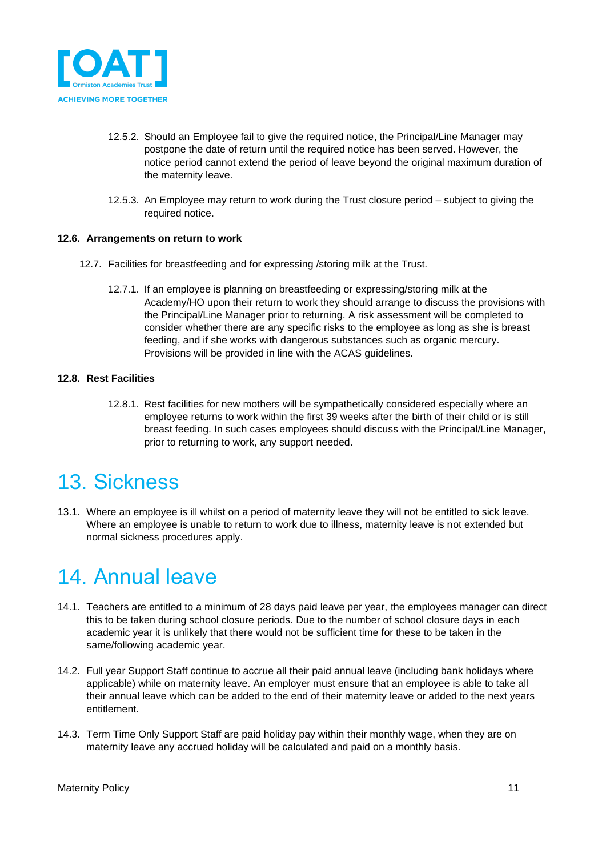

- 12.5.2. Should an Employee fail to give the required notice, the Principal/Line Manager may postpone the date of return until the required notice has been served. However, the notice period cannot extend the period of leave beyond the original maximum duration of the maternity leave.
- 12.5.3. An Employee may return to work during the Trust closure period subject to giving the required notice.

### **12.6. Arrangements on return to work**

- 12.7. Facilities for breastfeeding and for expressing /storing milk at the Trust.
	- 12.7.1. If an employee is planning on breastfeeding or expressing/storing milk at the Academy/HO upon their return to work they should arrange to discuss the provisions with the Principal/Line Manager prior to returning. A risk assessment will be completed to consider whether there are any specific risks to the employee as long as she is breast feeding, and if she works with dangerous substances such as organic mercury. Provisions will be provided in line with the ACAS guidelines.

### **12.8. Rest Facilities**

12.8.1. Rest facilities for new mothers will be sympathetically considered especially where an employee returns to work within the first 39 weeks after the birth of their child or is still breast feeding. In such cases employees should discuss with the Principal/Line Manager, prior to returning to work, any support needed.

### <span id="page-10-0"></span>13. Sickness

13.1. Where an employee is ill whilst on a period of maternity leave they will not be entitled to sick leave. Where an employee is unable to return to work due to illness, maternity leave is not extended but normal sickness procedures apply.

## <span id="page-10-1"></span>14. Annual leave

- 14.1. Teachers are entitled to a minimum of 28 days paid leave per year, the employees manager can direct this to be taken during school closure periods. Due to the number of school closure days in each academic year it is unlikely that there would not be sufficient time for these to be taken in the same/following academic year.
- 14.2. Full year Support Staff continue to accrue all their paid annual leave (including bank holidays where applicable) while on maternity leave. An employer must ensure that an employee is able to take all their annual leave which can be added to the end of their maternity leave or added to the next years entitlement.
- 14.3. Term Time Only Support Staff are paid holiday pay within their monthly wage, when they are on maternity leave any accrued holiday will be calculated and paid on a monthly basis.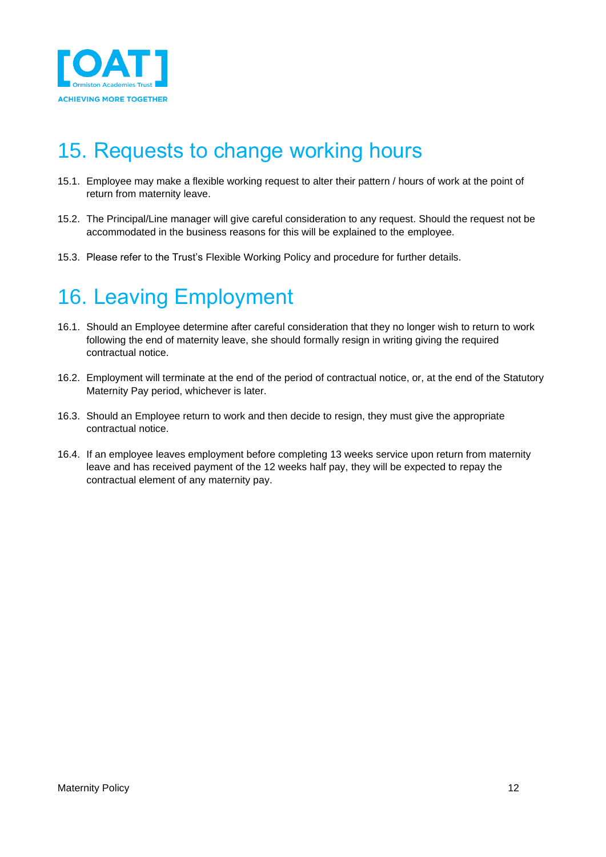

## <span id="page-11-0"></span>15. Requests to change working hours

- 15.1. Employee may make a flexible working request to alter their pattern / hours of work at the point of return from maternity leave.
- 15.2. The Principal/Line manager will give careful consideration to any request. Should the request not be accommodated in the business reasons for this will be explained to the employee.
- 15.3. Please refer to the Trust's Flexible Working Policy and procedure for further details.

# <span id="page-11-1"></span>16. Leaving Employment

- 16.1. Should an Employee determine after careful consideration that they no longer wish to return to work following the end of maternity leave, she should formally resign in writing giving the required contractual notice.
- 16.2. Employment will terminate at the end of the period of contractual notice, or, at the end of the Statutory Maternity Pay period, whichever is later.
- 16.3. Should an Employee return to work and then decide to resign, they must give the appropriate contractual notice.
- 16.4. If an employee leaves employment before completing 13 weeks service upon return from maternity leave and has received payment of the 12 weeks half pay, they will be expected to repay the contractual element of any maternity pay.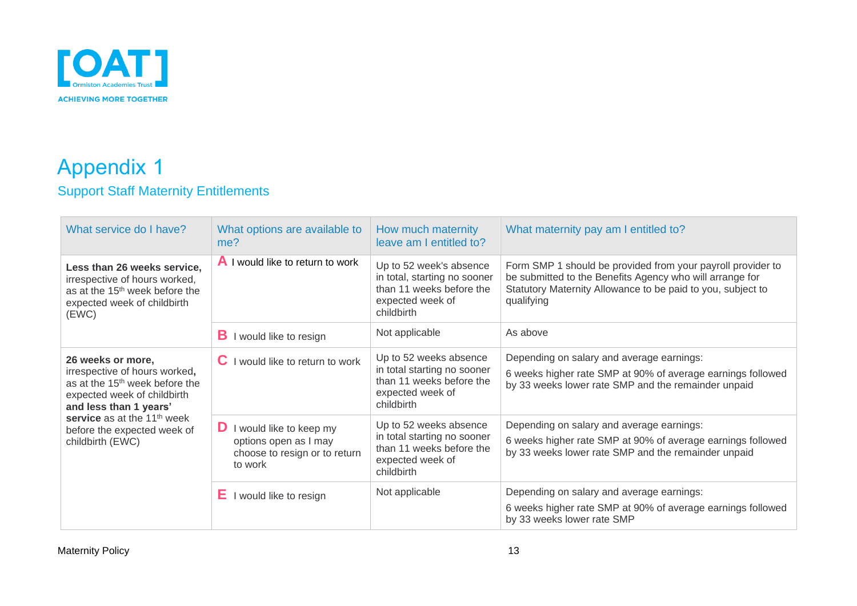

### Appendix 1 Support Staff Maternity Entitlements

<span id="page-12-1"></span><span id="page-12-0"></span>

| What service do I have?                                                                                                                                                                                                                                 | What options are available to<br>me?                                                                  | How much maternity<br>leave am I entitled to?                                                                         | What maternity pay am I entitled to?                                                                                                                                                                 |
|---------------------------------------------------------------------------------------------------------------------------------------------------------------------------------------------------------------------------------------------------------|-------------------------------------------------------------------------------------------------------|-----------------------------------------------------------------------------------------------------------------------|------------------------------------------------------------------------------------------------------------------------------------------------------------------------------------------------------|
| Less than 26 weeks service,<br>irrespective of hours worked,<br>as at the 15 <sup>th</sup> week before the<br>expected week of childbirth<br>(EWC)                                                                                                      | <b>A</b> I would like to return to work                                                               | Up to 52 week's absence<br>in total, starting no sooner<br>than 11 weeks before the<br>expected week of<br>childbirth | Form SMP 1 should be provided from your payroll provider to<br>be submitted to the Benefits Agency who will arrange for<br>Statutory Maternity Allowance to be paid to you, subject to<br>qualifying |
|                                                                                                                                                                                                                                                         | в<br>I would like to resign                                                                           | Not applicable                                                                                                        | As above                                                                                                                                                                                             |
| 26 weeks or more,<br>irrespective of hours worked,<br>as at the 15 <sup>th</sup> week before the<br>expected week of childbirth<br>and less than 1 years'<br>service as at the 11 <sup>th</sup> week<br>before the expected week of<br>childbirth (EWC) | $\mathbf C$ I would like to return to work                                                            | Up to 52 weeks absence<br>in total starting no sooner<br>than 11 weeks before the<br>expected week of<br>childbirth   | Depending on salary and average earnings:<br>6 weeks higher rate SMP at 90% of average earnings followed<br>by 33 weeks lower rate SMP and the remainder unpaid                                      |
|                                                                                                                                                                                                                                                         | <b>D</b> I would like to keep my<br>options open as I may<br>choose to resign or to return<br>to work | Up to 52 weeks absence<br>in total starting no sooner<br>than 11 weeks before the<br>expected week of<br>childbirth   | Depending on salary and average earnings:<br>6 weeks higher rate SMP at 90% of average earnings followed<br>by 33 weeks lower rate SMP and the remainder unpaid                                      |
|                                                                                                                                                                                                                                                         | I would like to resign                                                                                | Not applicable                                                                                                        | Depending on salary and average earnings:<br>6 weeks higher rate SMP at 90% of average earnings followed<br>by 33 weeks lower rate SMP                                                               |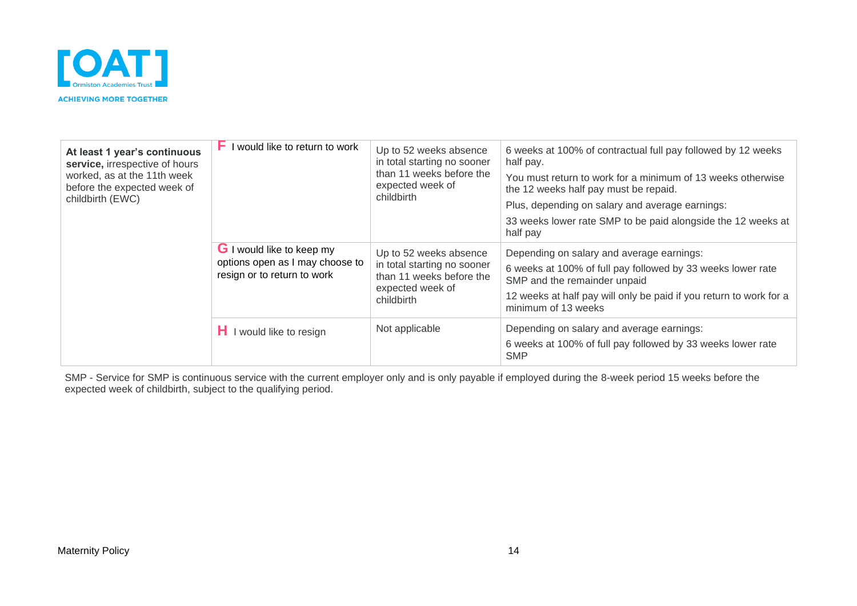

| At least 1 year's continuous<br>service, irrespective of hours<br>worked, as at the 11th week<br>before the expected week of<br>childbirth (EWC) | ۲.<br>I would like to return to work                                                               | Up to 52 weeks absence<br>in total starting no sooner<br>than 11 weeks before the<br>expected week of<br>childbirth | 6 weeks at 100% of contractual full pay followed by 12 weeks<br>half pay.<br>You must return to work for a minimum of 13 weeks otherwise<br>the 12 weeks half pay must be repaid.<br>Plus, depending on salary and average earnings:<br>33 weeks lower rate SMP to be paid alongside the 12 weeks at<br>half pay |
|--------------------------------------------------------------------------------------------------------------------------------------------------|----------------------------------------------------------------------------------------------------|---------------------------------------------------------------------------------------------------------------------|------------------------------------------------------------------------------------------------------------------------------------------------------------------------------------------------------------------------------------------------------------------------------------------------------------------|
|                                                                                                                                                  | <b>G</b> I would like to keep my<br>options open as I may choose to<br>resign or to return to work | Up to 52 weeks absence<br>in total starting no sooner<br>than 11 weeks before the<br>expected week of<br>childbirth | Depending on salary and average earnings:<br>6 weeks at 100% of full pay followed by 33 weeks lower rate<br>SMP and the remainder unpaid<br>12 weeks at half pay will only be paid if you return to work for a<br>minimum of 13 weeks                                                                            |
|                                                                                                                                                  | I would like to resign                                                                             | Not applicable                                                                                                      | Depending on salary and average earnings:<br>6 weeks at 100% of full pay followed by 33 weeks lower rate<br><b>SMP</b>                                                                                                                                                                                           |

SMP - Service for SMP is continuous service with the current employer only and is only payable if employed during the 8-week period 15 weeks before the expected week of childbirth, subject to the qualifying period.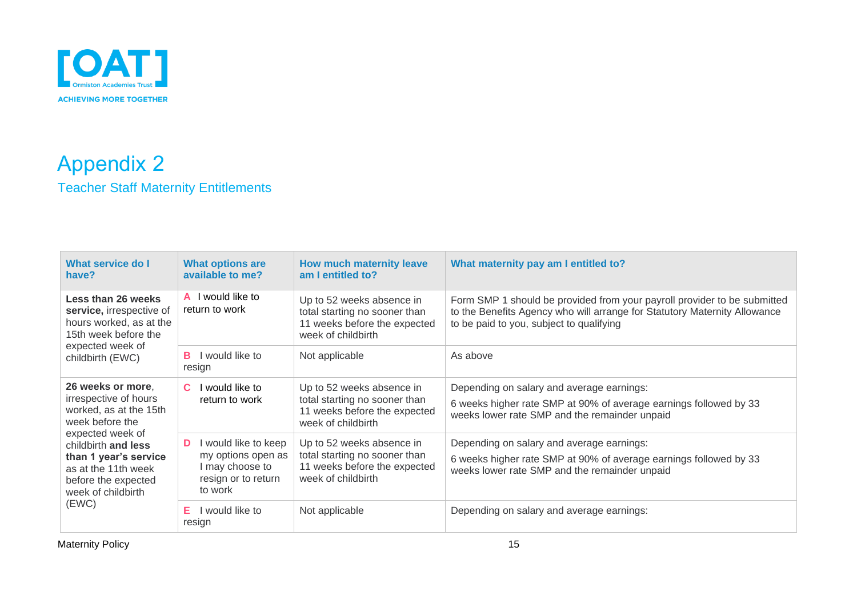

### Appendix 2 Teacher Staff Maternity Entitlements

<span id="page-14-1"></span><span id="page-14-0"></span>

| What service do I<br>have?                                                                                                           | <b>What options are</b><br>available to me?                                                        | How much maternity leave<br>am I entitled to?                                                                    | What maternity pay am I entitled to?                                                                                                                                                              |
|--------------------------------------------------------------------------------------------------------------------------------------|----------------------------------------------------------------------------------------------------|------------------------------------------------------------------------------------------------------------------|---------------------------------------------------------------------------------------------------------------------------------------------------------------------------------------------------|
| Less than 26 weeks<br>service, irrespective of<br>hours worked, as at the<br>15th week before the                                    | A I would like to<br>return to work                                                                | Up to 52 weeks absence in<br>total starting no sooner than<br>11 weeks before the expected<br>week of childbirth | Form SMP 1 should be provided from your payroll provider to be submitted<br>to the Benefits Agency who will arrange for Statutory Maternity Allowance<br>to be paid to you, subject to qualifying |
| expected week of<br>childbirth (EWC)                                                                                                 | would like to<br>в<br>resign                                                                       | Not applicable                                                                                                   | As above                                                                                                                                                                                          |
| 26 weeks or more,<br>irrespective of hours<br>worked, as at the 15th<br>week before the                                              | would like to<br>C.<br>return to work                                                              | Up to 52 weeks absence in<br>total starting no sooner than<br>11 weeks before the expected<br>week of childbirth | Depending on salary and average earnings:<br>6 weeks higher rate SMP at 90% of average earnings followed by 33<br>weeks lower rate SMP and the remainder unpaid                                   |
| expected week of<br>childbirth and less<br>than 1 year's service<br>as at the 11th week<br>before the expected<br>week of childbirth | would like to keep<br>D<br>my options open as<br>I may choose to<br>resign or to return<br>to work | Up to 52 weeks absence in<br>total starting no sooner than<br>11 weeks before the expected<br>week of childbirth | Depending on salary and average earnings:<br>6 weeks higher rate SMP at 90% of average earnings followed by 33<br>weeks lower rate SMP and the remainder unpaid                                   |
| (EWC)                                                                                                                                | would like to<br>Е<br>resign                                                                       | Not applicable                                                                                                   | Depending on salary and average earnings:                                                                                                                                                         |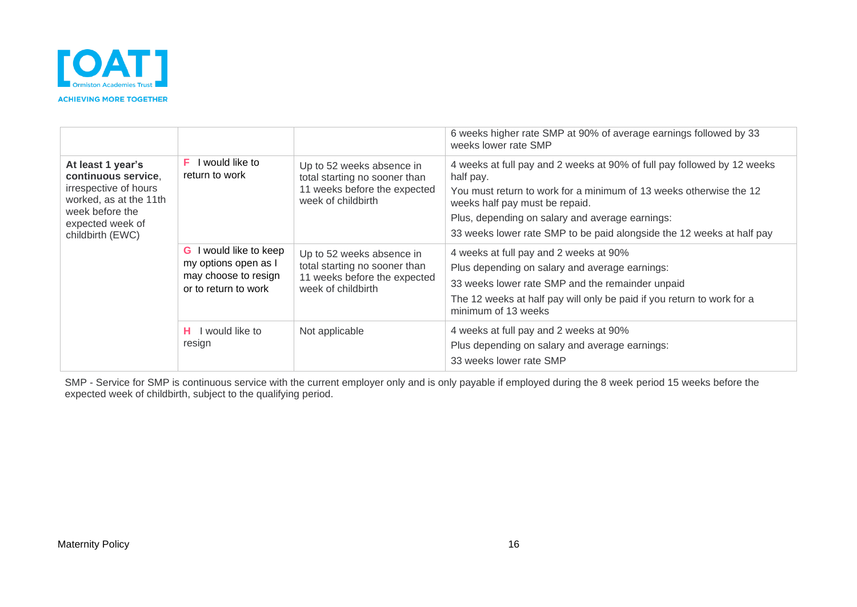

|                                                                                                                                                        |                                                                                                  |                                                                                                                  | 6 weeks higher rate SMP at 90% of average earnings followed by 33<br>weeks lower rate SMP                                                                                                                                                                                                                                |
|--------------------------------------------------------------------------------------------------------------------------------------------------------|--------------------------------------------------------------------------------------------------|------------------------------------------------------------------------------------------------------------------|--------------------------------------------------------------------------------------------------------------------------------------------------------------------------------------------------------------------------------------------------------------------------------------------------------------------------|
| At least 1 year's<br>continuous service,<br>irrespective of hours<br>worked, as at the 11th<br>week before the<br>expected week of<br>childbirth (EWC) | would like to<br>F.<br>return to work                                                            | Up to 52 weeks absence in<br>total starting no sooner than<br>11 weeks before the expected<br>week of childbirth | 4 weeks at full pay and 2 weeks at 90% of full pay followed by 12 weeks<br>half pay.<br>You must return to work for a minimum of 13 weeks otherwise the 12<br>weeks half pay must be repaid.<br>Plus, depending on salary and average earnings:<br>33 weeks lower rate SMP to be paid alongside the 12 weeks at half pay |
|                                                                                                                                                        | would like to keep<br>G.<br>my options open as I<br>may choose to resign<br>or to return to work | Up to 52 weeks absence in<br>total starting no sooner than<br>11 weeks before the expected<br>week of childbirth | 4 weeks at full pay and 2 weeks at 90%<br>Plus depending on salary and average earnings:<br>33 weeks lower rate SMP and the remainder unpaid<br>The 12 weeks at half pay will only be paid if you return to work for a<br>minimum of 13 weeks                                                                            |
|                                                                                                                                                        | I would like to<br>н.<br>resign                                                                  | Not applicable                                                                                                   | 4 weeks at full pay and 2 weeks at 90%<br>Plus depending on salary and average earnings:<br>33 weeks lower rate SMP                                                                                                                                                                                                      |

SMP - Service for SMP is continuous service with the current employer only and is only payable if employed during the 8 week period 15 weeks before the expected week of childbirth, subject to the qualifying period.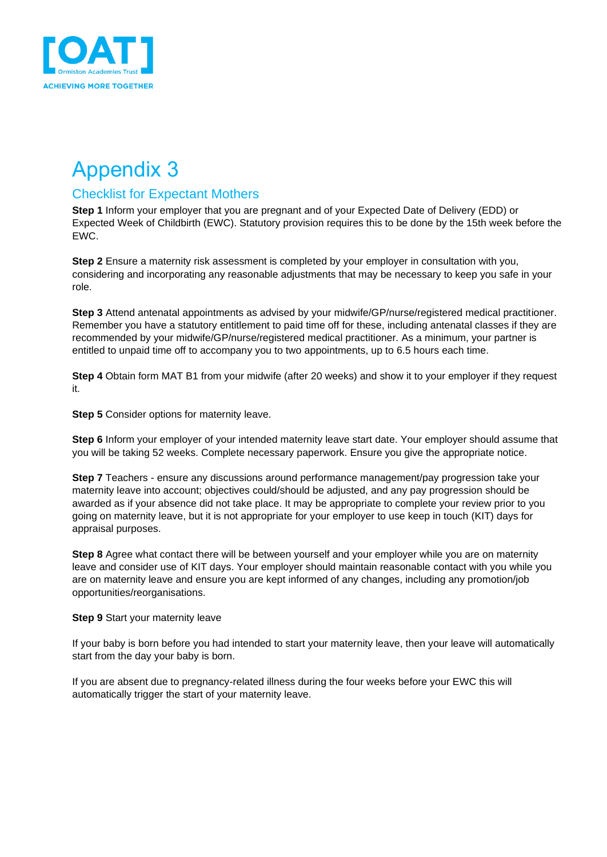

### <span id="page-16-1"></span><span id="page-16-0"></span>Checklist for Expectant Mothers

**Step 1** Inform your employer that you are pregnant and of your Expected Date of Delivery (EDD) or Expected Week of Childbirth (EWC). Statutory provision requires this to be done by the 15th week before the EWC.

**Step 2** Ensure a maternity risk assessment is completed by your employer in consultation with you, considering and incorporating any reasonable adjustments that may be necessary to keep you safe in your role.

**Step 3** Attend antenatal appointments as advised by your midwife/GP/nurse/registered medical practitioner. Remember you have a statutory entitlement to paid time off for these, including antenatal classes if they are recommended by your midwife/GP/nurse/registered medical practitioner. As a minimum, your partner is entitled to unpaid time off to accompany you to two appointments, up to 6.5 hours each time.

**Step 4** Obtain form MAT B1 from your midwife (after 20 weeks) and show it to your employer if they request it.

**Step 5** Consider options for maternity leave.

**Step 6** Inform your employer of your intended maternity leave start date. Your employer should assume that you will be taking 52 weeks. Complete necessary paperwork. Ensure you give the appropriate notice.

**Step 7** Teachers - ensure any discussions around performance management/pay progression take your maternity leave into account; objectives could/should be adjusted, and any pay progression should be awarded as if your absence did not take place. It may be appropriate to complete your review prior to you going on maternity leave, but it is not appropriate for your employer to use keep in touch (KIT) days for appraisal purposes.

**Step 8** Agree what contact there will be between yourself and your employer while you are on maternity leave and consider use of KIT days. Your employer should maintain reasonable contact with you while you are on maternity leave and ensure you are kept informed of any changes, including any promotion/job opportunities/reorganisations.

### **Step 9** Start your maternity leave

If your baby is born before you had intended to start your maternity leave, then your leave will automatically start from the day your baby is born.

If you are absent due to pregnancy-related illness during the four weeks before your EWC this will automatically trigger the start of your maternity leave.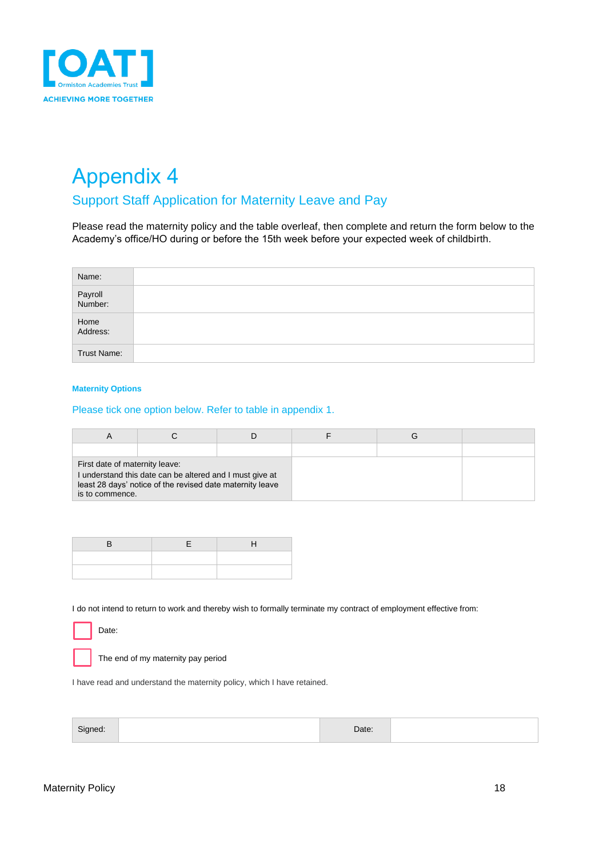

### <span id="page-17-1"></span><span id="page-17-0"></span>Support Staff Application for Maternity Leave and Pay

Please read the maternity policy and the table overleaf, then complete and return the form below to the Academy's office/HO during or before the 15th week before your expected week of childbirth.

| Name:              |  |
|--------------------|--|
| Payroll<br>Number: |  |
| Home<br>Address:   |  |
| Trust Name:        |  |

#### **Maternity Options**

### Please tick one option below. Refer to table in appendix 1.

| First date of maternity leave:<br>I understand this date can be altered and I must give at<br>least 28 days' notice of the revised date maternity leave<br>is to commence. |  |  |  |  |
|----------------------------------------------------------------------------------------------------------------------------------------------------------------------------|--|--|--|--|

I do not intend to return to work and thereby wish to formally terminate my contract of employment effective from:

Date:

The end of my maternity pay period

I have read and understand the maternity policy, which I have retained.

| $\sim$<br>$-111$ | ate |  |
|------------------|-----|--|
|                  |     |  |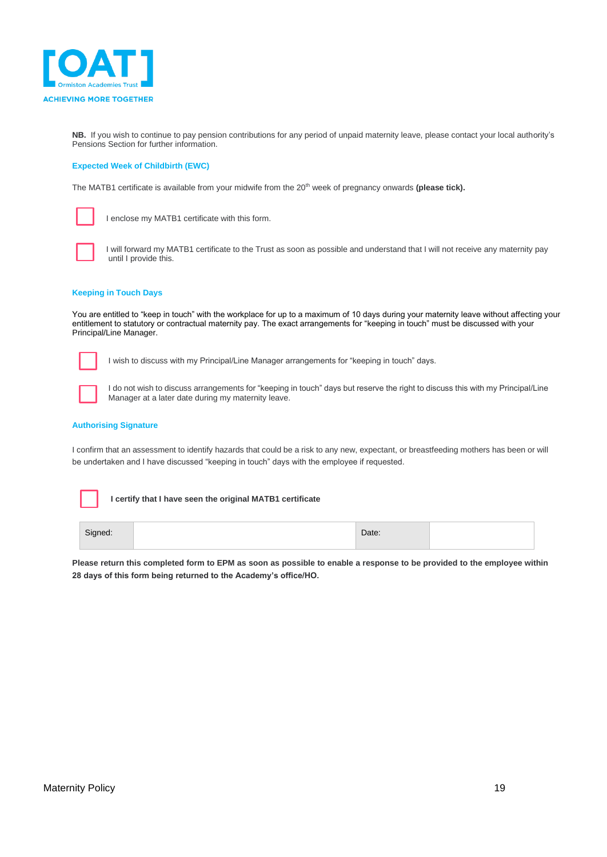

**NB.** If you wish to continue to pay pension contributions for any period of unpaid maternity leave, please contact your local authority's Pensions Section for further information.

#### **Expected Week of Childbirth (EWC)**

The MATB1 certificate is available from your midwife from the 20<sup>th</sup> week of pregnancy onwards **(please tick).** 



I enclose my MATB1 certificate with this form.



I will forward my MATB1 certificate to the Trust as soon as possible and understand that I will not receive any maternity pay until I provide this.

#### **Keeping in Touch Days**

You are entitled to "keep in touch" with the workplace for up to a maximum of 10 days during your maternity leave without affecting your entitlement to statutory or contractual maternity pay. The exact arrangements for "keeping in touch" must be discussed with your Principal/Line Manager.



I wish to discuss with my Principal/Line Manager arrangements for "keeping in touch" days.



I do not wish to discuss arrangements for "keeping in touch" days but reserve the right to discuss this with my Principal/Line Manager at a later date during my maternity leave.

#### **Authorising Signature**

I confirm that an assessment to identify hazards that could be a risk to any new, expectant, or breastfeeding mothers has been or will be undertaken and I have discussed "keeping in touch" days with the employee if requested.

**I certify that I have seen the original MATB1 certificate**

| Signed: | Date: |  |
|---------|-------|--|
|         |       |  |

**Please return this completed form to EPM as soon as possible to enable a response to be provided to the employee within 28 days of this form being returned to the Academy's office/HO.**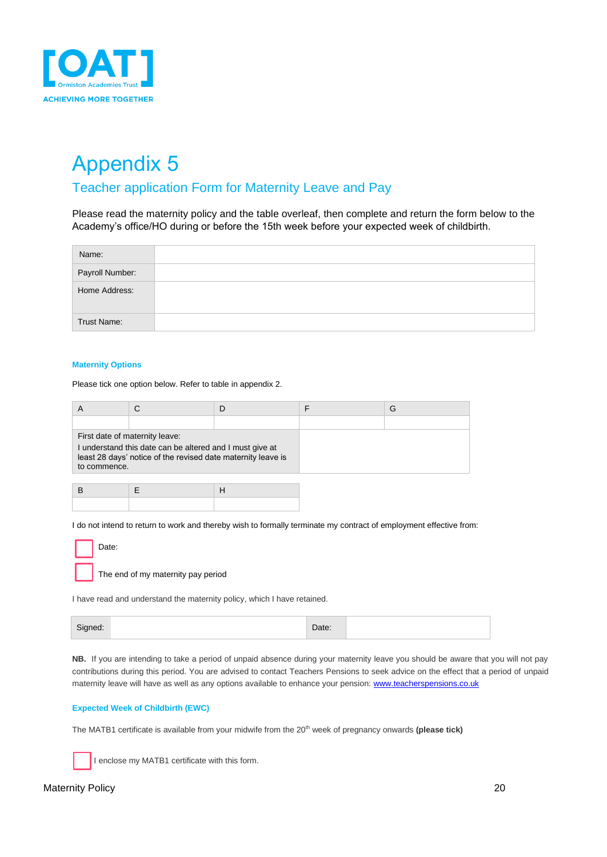

### <span id="page-19-1"></span><span id="page-19-0"></span>Teacher application Form for Maternity Leave and Pay

Please read the maternity policy and the table overleaf, then complete and return the form below to the Academy's office/HO during or before the 15th week before your expected week of childbirth.

| Name:              |  |
|--------------------|--|
| Payroll Number:    |  |
| Home Address:      |  |
| <b>Trust Name:</b> |  |

#### **Maternity Options**

Please tick one option below. Refer to table in appendix 2.

|              |                                                                                                                                                            |  | G |
|--------------|------------------------------------------------------------------------------------------------------------------------------------------------------------|--|---|
|              |                                                                                                                                                            |  |   |
| to commence. | First date of maternity leave:<br>I understand this date can be altered and I must give at<br>least 28 days' notice of the revised date maternity leave is |  |   |

I do not intend to return to work and thereby wish to formally terminate my contract of employment effective from:

| Date: |
|-------|
|       |

The end of my maternity pay period

I have read and understand the maternity policy, which I have retained.

**NB.** If you are intending to take a period of unpaid absence during your maternity leave you should be aware that you will not pay contributions during this period. You are advised to contact Teachers Pensions to seek advice on the effect that a period of unpaid maternity leave will have as well as any options available to enhance your pension[: www.teacherspensions.co.uk](http://www.teacherspensions.co.uk/)

#### **Expected Week of Childbirth (EWC)**

The MATB1 certificate is available from your midwife from the 20th week of pregnancy onwards **(please tick)**

I enclose my MATB1 certificate with this form.

#### Maternity Policy 20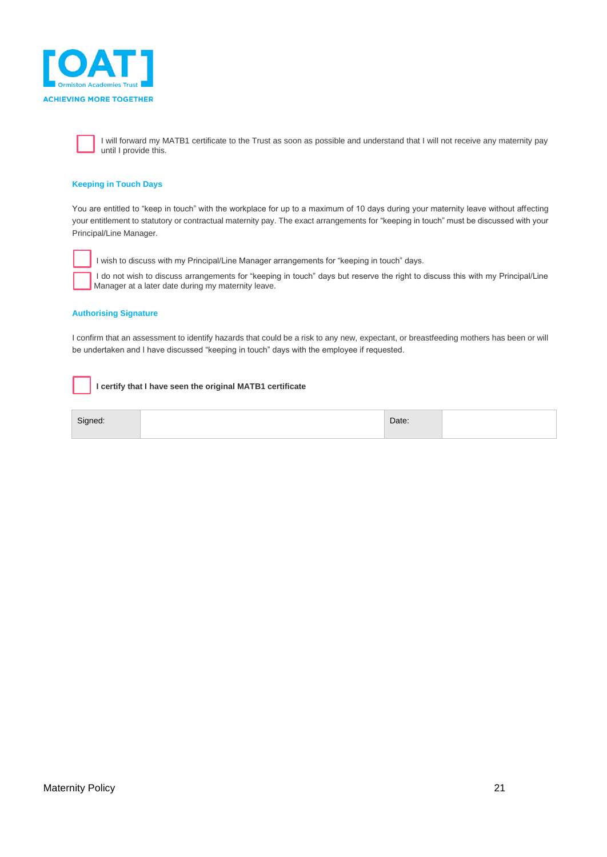

I will forward my MATB1 certificate to the Trust as soon as possible and understand that I will not receive any maternity pay until I provide this.

#### **Keeping in Touch Days**

You are entitled to "keep in touch" with the workplace for up to a maximum of 10 days during your maternity leave without affecting your entitlement to statutory or contractual maternity pay. The exact arrangements for "keeping in touch" must be discussed with your Principal/Line Manager.



I wish to discuss with my Principal/Line Manager arrangements for "keeping in touch" days.

I do not wish to discuss arrangements for "keeping in touch" days but reserve the right to discuss this with my Principal/Line Manager at a later date during my maternity leave.

#### **Authorising Signature**

I confirm that an assessment to identify hazards that could be a risk to any new, expectant, or breastfeeding mothers has been or will be undertaken and I have discussed "keeping in touch" days with the employee if requested.

#### **I certify that I have seen the original MATB1 certificate**

| <b>Signeo</b><br>- - | Date: |  |
|----------------------|-------|--|
|                      |       |  |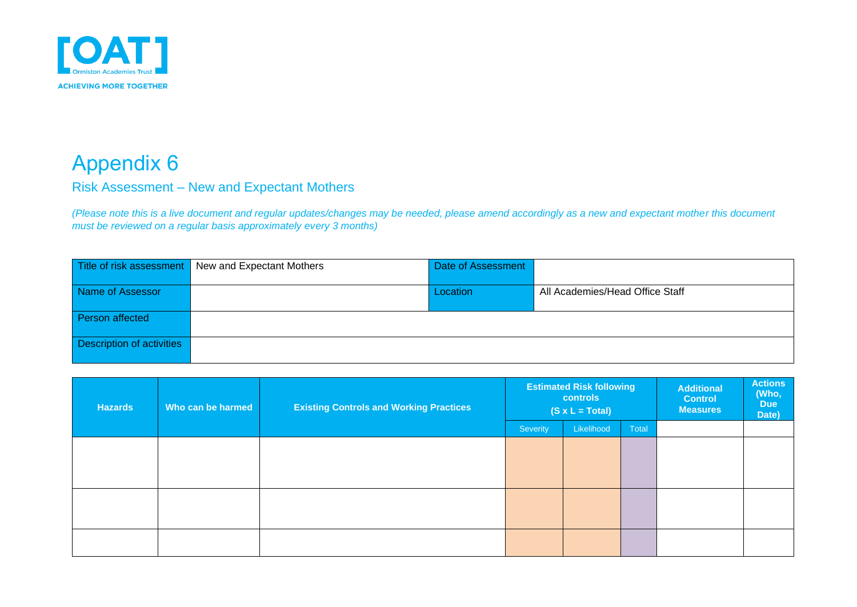

### Risk Assessment – New and Expectant Mothers

*(Please note this is a live document and regular updates/changes may be needed, please amend accordingly as a new and expectant mother this document must be reviewed on a regular basis approximately every 3 months)*

|                           | Title of risk assessment New and Expectant Mothers | Date of Assessment |                                 |
|---------------------------|----------------------------------------------------|--------------------|---------------------------------|
| Name of Assessor          |                                                    | Location           | All Academies/Head Office Staff |
|                           |                                                    |                    |                                 |
| Person affected           |                                                    |                    |                                 |
|                           |                                                    |                    |                                 |
| Description of activities |                                                    |                    |                                 |
|                           |                                                    |                    |                                 |

<span id="page-21-1"></span><span id="page-21-0"></span>

| <b>Hazards</b> | Who can be harmed | <b>Existing Controls and Working Practices</b> | <b>Estimated Risk following</b><br><b>controls</b><br>$(S \times L = Total)$ |            |       | <b>Additional</b><br><b>Control</b><br><b>Measures</b> | <b>Actions</b><br>(Who,<br><b>Due</b><br>Date) |
|----------------|-------------------|------------------------------------------------|------------------------------------------------------------------------------|------------|-------|--------------------------------------------------------|------------------------------------------------|
|                |                   |                                                | Severity                                                                     | Likelihood | Total |                                                        |                                                |
|                |                   |                                                |                                                                              |            |       |                                                        |                                                |
|                |                   |                                                |                                                                              |            |       |                                                        |                                                |
|                |                   |                                                |                                                                              |            |       |                                                        |                                                |
|                |                   |                                                |                                                                              |            |       |                                                        |                                                |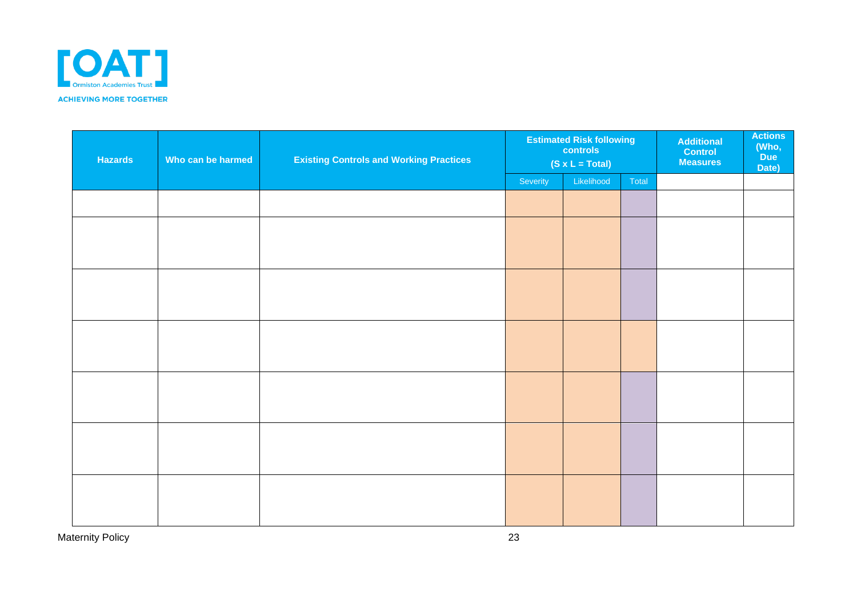

| <b>Hazards</b><br>Who can be harmed |  | <b>Existing Controls and Working Practices</b> | <b>Estimated Risk following</b><br>controls<br>$(S \times L = Total)$ |            | <b>Additional</b><br><b>Control</b><br><b>Measures</b> | <b>Actions</b><br>(Who,<br><b>Due</b><br>Date) |  |
|-------------------------------------|--|------------------------------------------------|-----------------------------------------------------------------------|------------|--------------------------------------------------------|------------------------------------------------|--|
|                                     |  |                                                | Severity                                                              | Likelihood | Total                                                  |                                                |  |
|                                     |  |                                                |                                                                       |            |                                                        |                                                |  |
|                                     |  |                                                |                                                                       |            |                                                        |                                                |  |
|                                     |  |                                                |                                                                       |            |                                                        |                                                |  |
|                                     |  |                                                |                                                                       |            |                                                        |                                                |  |
|                                     |  |                                                |                                                                       |            |                                                        |                                                |  |
|                                     |  |                                                |                                                                       |            |                                                        |                                                |  |
|                                     |  |                                                |                                                                       |            |                                                        |                                                |  |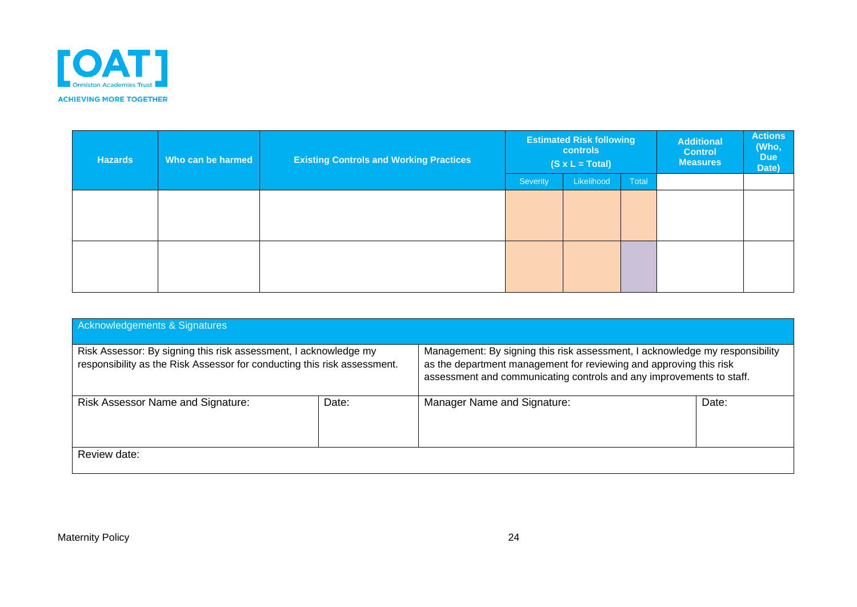

| <b>Hazards</b> | Who can be harmed | <b>Existing Controls and Working Practices</b> | <b>Estimated Risk following</b><br><b>controls</b><br>$(S \times L = Total)$ |            |       | <b>Additional</b><br><b>Control</b><br><b>Measures</b> | <b>Actions</b><br>(Who,<br><b>Due</b><br>Date) |
|----------------|-------------------|------------------------------------------------|------------------------------------------------------------------------------|------------|-------|--------------------------------------------------------|------------------------------------------------|
|                |                   |                                                | Severity                                                                     | Likelihood | Total |                                                        |                                                |
|                |                   |                                                |                                                                              |            |       |                                                        |                                                |
|                |                   |                                                |                                                                              |            |       |                                                        |                                                |
|                |                   |                                                |                                                                              |            |       |                                                        |                                                |
|                |                   |                                                |                                                                              |            |       |                                                        |                                                |
|                |                   |                                                |                                                                              |            |       |                                                        |                                                |
|                |                   |                                                |                                                                              |            |       |                                                        |                                                |

| Acknowledgements & Signatures                                                                                                                |  |                                                                                                                                                                                                                            |       |  |
|----------------------------------------------------------------------------------------------------------------------------------------------|--|----------------------------------------------------------------------------------------------------------------------------------------------------------------------------------------------------------------------------|-------|--|
| Risk Assessor: By signing this risk assessment, I acknowledge my<br>responsibility as the Risk Assessor for conducting this risk assessment. |  | Management: By signing this risk assessment, I acknowledge my responsibility<br>as the department management for reviewing and approving this risk<br>assessment and communicating controls and any improvements to staff. |       |  |
| Risk Assessor Name and Signature:<br>Date:                                                                                                   |  | Manager Name and Signature:                                                                                                                                                                                                | Date: |  |
| Review date:                                                                                                                                 |  |                                                                                                                                                                                                                            |       |  |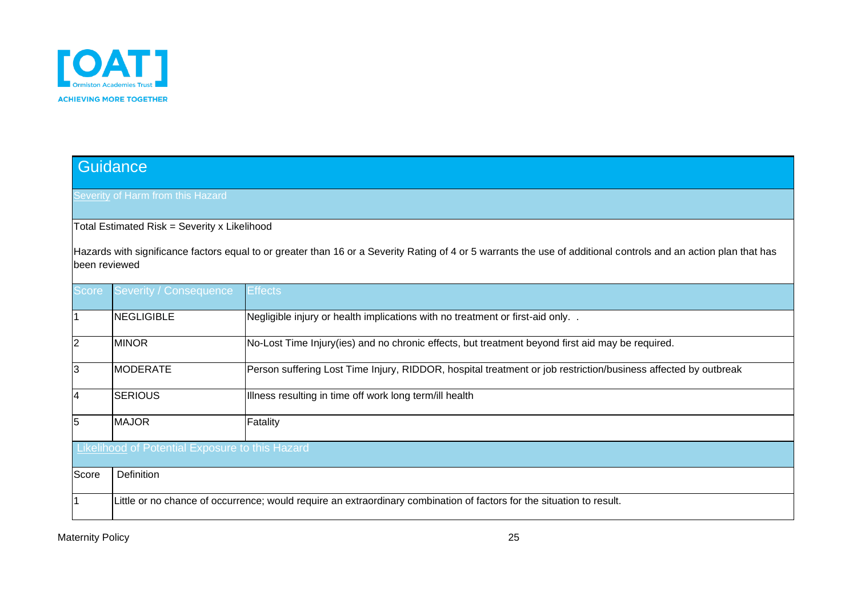

|                         | Guidance                                                                                                              |                                                                                                                                                                  |  |  |  |  |  |  |  |
|-------------------------|-----------------------------------------------------------------------------------------------------------------------|------------------------------------------------------------------------------------------------------------------------------------------------------------------|--|--|--|--|--|--|--|
|                         |                                                                                                                       |                                                                                                                                                                  |  |  |  |  |  |  |  |
|                         | Severity of Harm from this Hazard                                                                                     |                                                                                                                                                                  |  |  |  |  |  |  |  |
|                         |                                                                                                                       |                                                                                                                                                                  |  |  |  |  |  |  |  |
|                         | Total Estimated Risk = Severity x Likelihood                                                                          |                                                                                                                                                                  |  |  |  |  |  |  |  |
|                         |                                                                                                                       | Hazards with significance factors equal to or greater than 16 or a Severity Rating of 4 or 5 warrants the use of additional controls and an action plan that has |  |  |  |  |  |  |  |
| been reviewed           |                                                                                                                       |                                                                                                                                                                  |  |  |  |  |  |  |  |
|                         |                                                                                                                       |                                                                                                                                                                  |  |  |  |  |  |  |  |
| <b>Score</b>            | <b>Severity / Consequence</b>                                                                                         | <b>Effects</b>                                                                                                                                                   |  |  |  |  |  |  |  |
|                         |                                                                                                                       |                                                                                                                                                                  |  |  |  |  |  |  |  |
| $\overline{1}$          | <b>NEGLIGIBLE</b>                                                                                                     | Negligible injury or health implications with no treatment or first-aid only. .                                                                                  |  |  |  |  |  |  |  |
| 2                       | <b>MINOR</b>                                                                                                          | No-Lost Time Injury(ies) and no chronic effects, but treatment beyond first aid may be required.                                                                 |  |  |  |  |  |  |  |
|                         |                                                                                                                       |                                                                                                                                                                  |  |  |  |  |  |  |  |
| 3                       | <b>MODERATE</b>                                                                                                       | Person suffering Lost Time Injury, RIDDOR, hospital treatment or job restriction/business affected by outbreak                                                   |  |  |  |  |  |  |  |
|                         |                                                                                                                       |                                                                                                                                                                  |  |  |  |  |  |  |  |
| $\overline{\mathbf{4}}$ | <b>SERIOUS</b>                                                                                                        | Illness resulting in time off work long term/ill health                                                                                                          |  |  |  |  |  |  |  |
| $\overline{5}$          | <b>MAJOR</b>                                                                                                          | Fatality                                                                                                                                                         |  |  |  |  |  |  |  |
|                         |                                                                                                                       |                                                                                                                                                                  |  |  |  |  |  |  |  |
|                         | <b>Likelihood of Potential Exposure to this Hazard</b>                                                                |                                                                                                                                                                  |  |  |  |  |  |  |  |
|                         |                                                                                                                       |                                                                                                                                                                  |  |  |  |  |  |  |  |
| Score                   | Definition                                                                                                            |                                                                                                                                                                  |  |  |  |  |  |  |  |
| $\overline{1}$          |                                                                                                                       |                                                                                                                                                                  |  |  |  |  |  |  |  |
|                         | Little or no chance of occurrence; would require an extraordinary combination of factors for the situation to result. |                                                                                                                                                                  |  |  |  |  |  |  |  |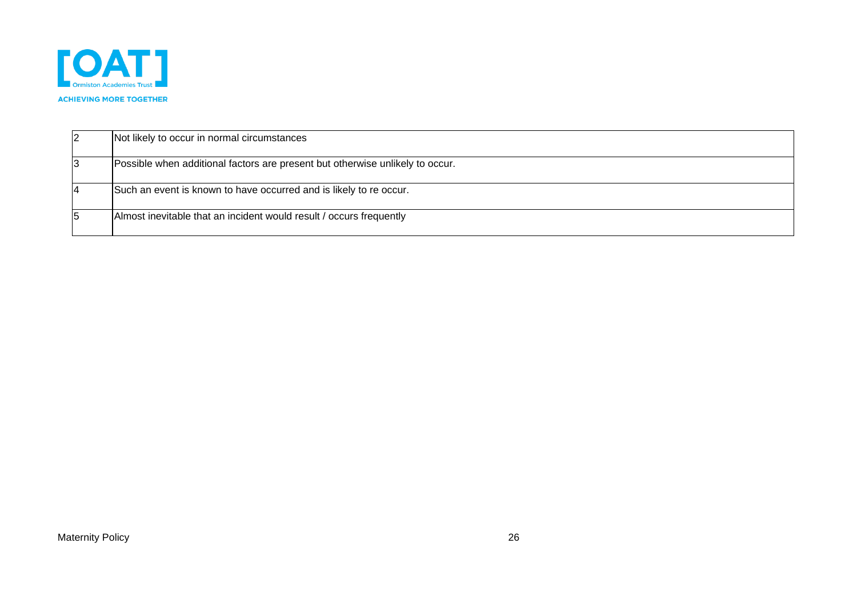

| Not likely to occur in normal circumstances                                   |
|-------------------------------------------------------------------------------|
| Possible when additional factors are present but otherwise unlikely to occur. |
| Such an event is known to have occurred and is likely to re occur.            |
| Almost inevitable that an incident would result / occurs frequently           |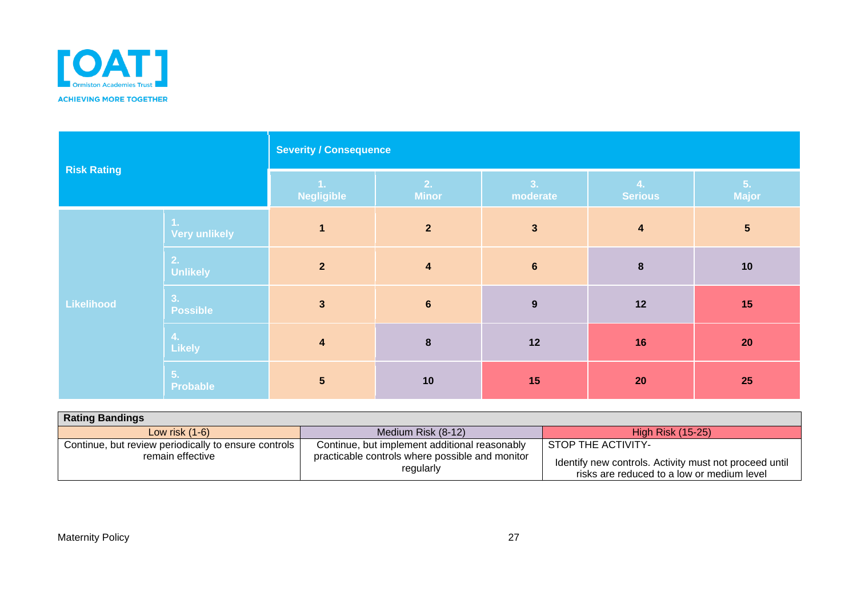

| <b>Risk Rating</b> |                             | <b>Severity / Consequence</b> |                      |                         |                         |                 |
|--------------------|-----------------------------|-------------------------------|----------------------|-------------------------|-------------------------|-----------------|
|                    |                             | 1.<br><b>Negligible</b>       | 2.<br><b>Minor</b>   | 3.<br>moderate          | 4.<br><b>Serious</b>    | 5.<br>Major     |
|                    | -1.<br><b>Very unlikely</b> | $\mathbf{1}$                  | $\overline{2}$       | $\overline{\mathbf{3}}$ | $\overline{\mathbf{4}}$ | $5\phantom{.0}$ |
|                    | 2.<br><b>Unlikely</b>       | $\overline{2}$                | $\blacktriangleleft$ | $6\phantom{1}$          | $\pmb{8}$               | 10              |
| Likelihood         | 3.<br><b>Possible</b>       | $\mathbf{3}$                  | $6\phantom{1}$       | 9                       | $12$                    | 15              |
|                    | $\mathbf{4}$ .<br>Likely    | $\overline{\mathbf{4}}$       | $\boldsymbol{8}$     | $12$                    | 16                      | 20              |
|                    | 5.<br>Probable              | $5\phantom{.0}$               | 10                   | 15                      | 20                      | 25              |

<span id="page-26-0"></span>

| <b>Rating Bandings</b>                                                   |                                                                                                               |                                                                                                                            |  |  |  |  |  |
|--------------------------------------------------------------------------|---------------------------------------------------------------------------------------------------------------|----------------------------------------------------------------------------------------------------------------------------|--|--|--|--|--|
| Low risk $(1-6)$                                                         | Medium Risk (8-12)                                                                                            | <b>High Risk (15-25)</b>                                                                                                   |  |  |  |  |  |
| Continue, but review periodically to ensure controls<br>remain effective | Continue, but implement additional reasonably<br>practicable controls where possible and monitor<br>regularly | STOP THE ACTIVITY-<br>Identify new controls. Activity must not proceed until<br>risks are reduced to a low or medium level |  |  |  |  |  |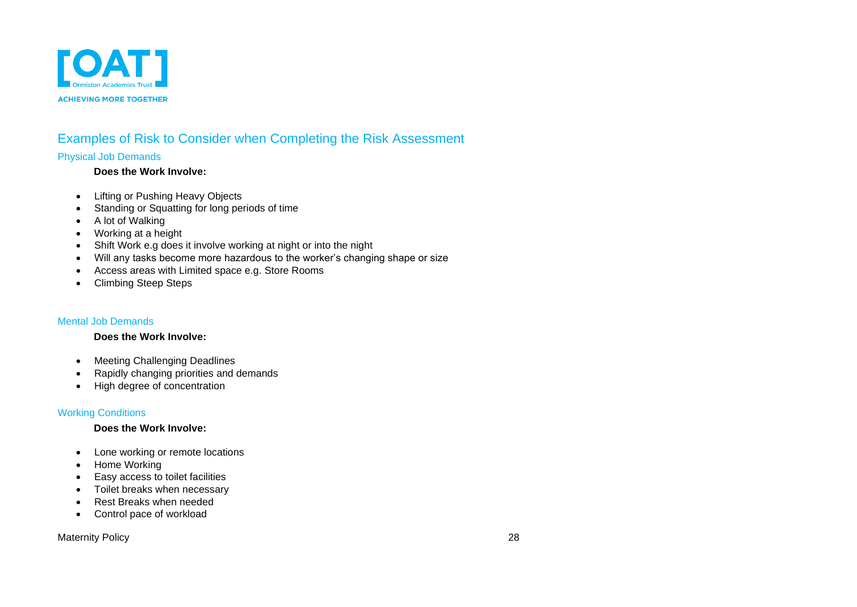

### Examples of Risk to Consider when Completing the Risk Assessment Physical Job Demands

### **Does the Work Involve:**

- Lifting or Pushing Heavy Objects
- Standing or Squatting for long periods of time
- A lot of Walking
- Working at a height
- Shift Work e.g does it involve working at night or into the night
- Will any tasks become more hazardous to the worker's changing shape or size
- Access areas with Limited space e.g. Store Rooms
- Climbing Steep Steps

### Mental Job Demands

#### **Does the Work Involve:**

- Meeting Challenging Deadlines
- Rapidly changing priorities and demands
- High degree of concentration

### <span id="page-27-0"></span>Working Conditions

#### **Does the Work Involve:**

- Lone working or remote locations
- Home Working
- Easy access to toilet facilities
- Toilet breaks when necessary
- Rest Breaks when needed
- Control pace of workload

### <span id="page-27-2"></span><span id="page-27-1"></span>Maternity Policy 28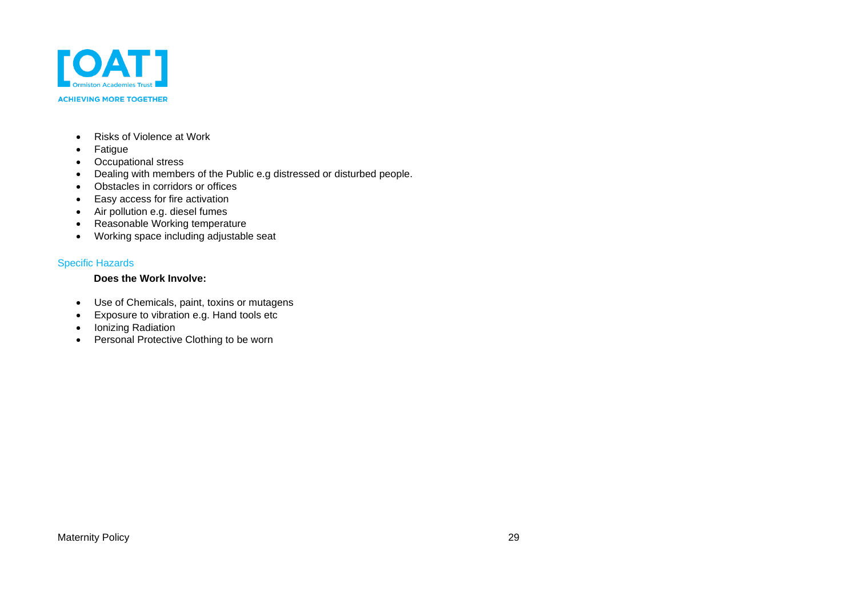

#### **ACHIEVING MORE TOGETHER**

- Risks of Violence at Work
- Fatigue
- Occupational stress
- Dealing with members of the Public e.g distressed or disturbed people.
- Obstacles in corridors or offices
- Easy access for fire activation
- Air pollution e.g. diesel fumes
- Reasonable Working temperature
- Working space including adjustable seat

#### Specific Hazards

### **Does the Work Involve:**

- Use of Chemicals, paint, toxins or mutagens
- Exposure to vibration e.g. Hand tools etc
- Ionizing Radiation
- <span id="page-28-0"></span>• Personal Protective Clothing to be worn